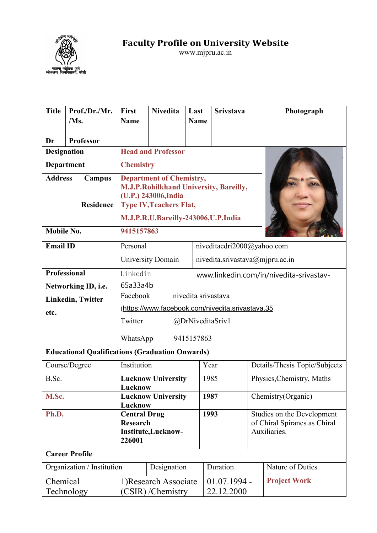

**Faculty Profile on University Website**

www.mjpru.ac.in

| <b>Title</b>                              | Prof./Dr./Mr.                                          | <b>First</b>                                        | <b>Nivedita</b>                                                                                   | Last                | <b>Srivstava</b>             | Photograph                                                                 |  |  |  |  |  |
|-------------------------------------------|--------------------------------------------------------|-----------------------------------------------------|---------------------------------------------------------------------------------------------------|---------------------|------------------------------|----------------------------------------------------------------------------|--|--|--|--|--|
|                                           | /Ms.                                                   | <b>Name</b>                                         |                                                                                                   | <b>Name</b>         |                              |                                                                            |  |  |  |  |  |
|                                           |                                                        |                                                     |                                                                                                   |                     |                              |                                                                            |  |  |  |  |  |
| Dr<br><b>Designation</b>                  | <b>Professor</b>                                       |                                                     | <b>Head and Professor</b>                                                                         |                     |                              |                                                                            |  |  |  |  |  |
|                                           |                                                        |                                                     |                                                                                                   |                     |                              |                                                                            |  |  |  |  |  |
| <b>Department</b>                         |                                                        | <b>Chemistry</b>                                    |                                                                                                   |                     |                              |                                                                            |  |  |  |  |  |
| <b>Address</b>                            | Campus                                                 |                                                     | <b>Department of Chemistry,</b><br>M.J.P.Rohilkhand University, Bareilly,<br>(U.P.) 243006, India |                     |                              |                                                                            |  |  |  |  |  |
|                                           | <b>Residence</b>                                       |                                                     | <b>Type IV, Teachers Flat,</b>                                                                    |                     |                              |                                                                            |  |  |  |  |  |
|                                           |                                                        |                                                     | M.J.P.R.U.Bareilly-243006,U.P.India                                                               |                     |                              |                                                                            |  |  |  |  |  |
| Mobile No.                                |                                                        | 9415157863                                          |                                                                                                   |                     |                              |                                                                            |  |  |  |  |  |
| <b>Email ID</b>                           |                                                        | Personal                                            |                                                                                                   |                     | niveditacdri2000@yahoo.com   |                                                                            |  |  |  |  |  |
|                                           |                                                        |                                                     | <b>University Domain</b>                                                                          |                     |                              | nivedita.srivastava@mjpru.ac.in                                            |  |  |  |  |  |
| Professional                              |                                                        | Linkedin<br>www.linkedin.com/in/nivedita-srivastav- |                                                                                                   |                     |                              |                                                                            |  |  |  |  |  |
|                                           | Networking ID, i.e.                                    |                                                     | 65a33a4b                                                                                          |                     |                              |                                                                            |  |  |  |  |  |
|                                           | <b>Linkedin, Twitter</b>                               | Facebook                                            |                                                                                                   | nivedita srivastava |                              |                                                                            |  |  |  |  |  |
| etc.                                      |                                                        | (https://www.facebook.com/nivedita.srivastava.35    |                                                                                                   |                     |                              |                                                                            |  |  |  |  |  |
|                                           |                                                        | Twitter<br>@DrNiveditaSriv1                         |                                                                                                   |                     |                              |                                                                            |  |  |  |  |  |
|                                           |                                                        |                                                     |                                                                                                   |                     |                              |                                                                            |  |  |  |  |  |
|                                           |                                                        | WhatsApp                                            |                                                                                                   | 9415157863          |                              |                                                                            |  |  |  |  |  |
|                                           | <b>Educational Qualifications (Graduation Onwards)</b> |                                                     |                                                                                                   |                     |                              |                                                                            |  |  |  |  |  |
|                                           | Course/Degree                                          | Institution                                         |                                                                                                   |                     | Year                         | Details/Thesis Topic/Subjects                                              |  |  |  |  |  |
| B.Sc.                                     |                                                        |                                                     | <b>Lucknow University</b>                                                                         |                     | 1985                         | Physics, Chemistry, Maths                                                  |  |  |  |  |  |
| M.Sc.                                     |                                                        | Lucknow                                             | <b>Lucknow University</b>                                                                         |                     | 1987                         | Chemistry(Organic)                                                         |  |  |  |  |  |
|                                           |                                                        | Lucknow                                             |                                                                                                   |                     |                              |                                                                            |  |  |  |  |  |
| Ph.D.                                     |                                                        | 226001                                              | 1993<br><b>Central Drug</b><br><b>Research</b><br>Institute,Lucknow-                              |                     |                              | Studies on the Development<br>of Chiral Spiranes as Chiral<br>Auxiliaries. |  |  |  |  |  |
|                                           | <b>Career Profile</b>                                  |                                                     |                                                                                                   |                     |                              |                                                                            |  |  |  |  |  |
| Organization / Institution<br>Designation |                                                        |                                                     |                                                                                                   |                     | Duration<br>Nature of Duties |                                                                            |  |  |  |  |  |
| Chemical                                  |                                                        |                                                     | 1) Research Associate                                                                             |                     | $01.07.1994 -$               | <b>Project Work</b>                                                        |  |  |  |  |  |
|                                           | Technology                                             |                                                     | (CSIR)/Chemistry                                                                                  |                     | 22.12.2000                   |                                                                            |  |  |  |  |  |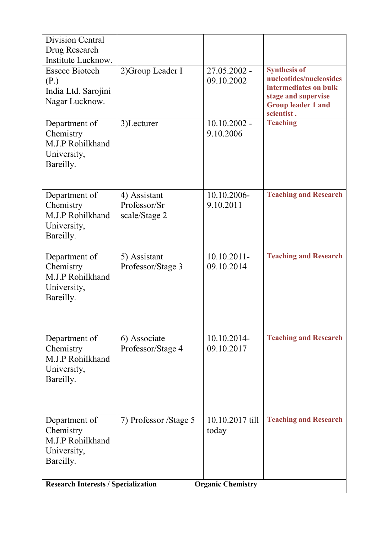| <b>Division Central</b><br>Drug Research<br>Institute Lucknow.             |                                               |                              |                                                                                                                                           |
|----------------------------------------------------------------------------|-----------------------------------------------|------------------------------|-------------------------------------------------------------------------------------------------------------------------------------------|
| <b>Esscee Biotech</b><br>(P.)<br>India Ltd. Sarojini<br>Nagar Lucknow.     | 2) Group Leader I                             | 27.05.2002 -<br>09.10.2002   | <b>Synthesis of</b><br>nucleotides/nucleosides<br>intermediates on bulk<br>stage and supervise<br><b>Group leader 1 and</b><br>scientist. |
| Department of<br>Chemistry<br>M.J.P Rohilkhand<br>University,<br>Bareilly. | 3)Lecturer                                    | $10.10.2002 -$<br>9.10.2006  | <b>Teaching</b>                                                                                                                           |
| Department of<br>Chemistry<br>M.J.P Rohilkhand<br>University,<br>Bareilly. | 4) Assistant<br>Professor/Sr<br>scale/Stage 2 | 10.10.2006-<br>9.10.2011     | <b>Teaching and Research</b>                                                                                                              |
| Department of<br>Chemistry<br>M.J.P Rohilkhand<br>University,<br>Bareilly. | 5) Assistant<br>Professor/Stage 3             | $10.10.2011$ -<br>09.10.2014 | <b>Teaching and Research</b>                                                                                                              |
| Department of<br>Chemistry<br>M.J.P Rohilkhand<br>University,<br>Bareilly. | 6) Associate<br>Professor/Stage 4             | 10.10.2014-<br>09.10.2017    | <b>Teaching and Research</b>                                                                                                              |
| Department of<br>Chemistry<br>M.J.P Rohilkhand<br>University,<br>Bareilly. | 7) Professor /Stage 5                         | 10.10.2017 till<br>today     | <b>Teaching and Research</b>                                                                                                              |
| <b>Research Interests / Specialization</b>                                 |                                               | <b>Organic Chemistry</b>     |                                                                                                                                           |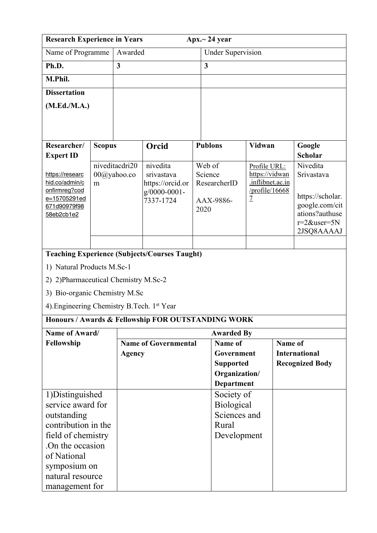| <b>Research Experience in Years</b>                |               |                               |                                                                 | Apx. $\sim$ 24 year               |                                |                                       |                                                                                      |  |  |  |
|----------------------------------------------------|---------------|-------------------------------|-----------------------------------------------------------------|-----------------------------------|--------------------------------|---------------------------------------|--------------------------------------------------------------------------------------|--|--|--|
| Name of Programme                                  |               | Awarded                       |                                                                 |                                   | <b>Under Supervision</b>       |                                       |                                                                                      |  |  |  |
| Ph.D.                                              |               | $\overline{\mathbf{3}}$       |                                                                 | 3                                 |                                |                                       |                                                                                      |  |  |  |
| M.Phil.                                            |               |                               |                                                                 |                                   |                                |                                       |                                                                                      |  |  |  |
| <b>Dissertation</b>                                |               |                               |                                                                 |                                   |                                |                                       |                                                                                      |  |  |  |
| (M.Ed./M.A.)                                       |               |                               |                                                                 |                                   |                                |                                       |                                                                                      |  |  |  |
|                                                    |               |                               |                                                                 |                                   |                                |                                       |                                                                                      |  |  |  |
|                                                    |               |                               |                                                                 |                                   |                                |                                       |                                                                                      |  |  |  |
| Researcher/<br><b>Expert ID</b>                    | <b>Scopus</b> |                               | Orcid                                                           | <b>Publons</b>                    | <b>Vidwan</b>                  |                                       | Google<br><b>Scholar</b>                                                             |  |  |  |
| https://researc<br>hid.co/admin/c<br>onfirmreg?cod | m             | niveditacdri20<br>00@yahoo.co | nivedita<br>srivastava<br>https://orcid.or<br>$g/0000 - 0001 -$ | Web of<br>Science<br>ResearcherID | Profile URL:<br>https://vidwan | .inflibnet.ac.in<br>/profile/ $16668$ | Nivedita<br>Srivastava                                                               |  |  |  |
| e=15705291ed<br>671d90979f98<br>58eb2cb1e2         |               |                               | 7337-1724                                                       | AAX-9886-<br>2020                 | $\overline{1}$                 |                                       | https://scholar.<br>google.com/cit<br>ations?authuse<br>$r=2$ &user=5N<br>2JSQ8AAAAJ |  |  |  |
|                                                    |               |                               | <b>Teaching Experience (Subjects/Courses Taught)</b>            |                                   |                                |                                       |                                                                                      |  |  |  |
| 1) Natural Products M.Sc-1                         |               |                               |                                                                 |                                   |                                |                                       |                                                                                      |  |  |  |
| 2) 2) Pharmaceutical Chemistry M.Sc-2              |               |                               |                                                                 |                                   |                                |                                       |                                                                                      |  |  |  |
| 3) Bio-organic Chemistry M.Sc                      |               |                               |                                                                 |                                   |                                |                                       |                                                                                      |  |  |  |
| 4). Engineering Chemistry B. Tech. 1st Year        |               |                               |                                                                 |                                   |                                |                                       |                                                                                      |  |  |  |
|                                                    |               |                               | Honours / Awards & Fellowship FOR OUTSTANDING WORK              |                                   |                                |                                       |                                                                                      |  |  |  |
| Name of Award/                                     |               |                               |                                                                 | <b>Awarded By</b>                 |                                |                                       |                                                                                      |  |  |  |
| Fellowship                                         |               |                               | <b>Name of Governmental</b>                                     | Name of                           |                                |                                       | Name of                                                                              |  |  |  |
|                                                    |               | <b>Agency</b>                 |                                                                 | Government                        |                                |                                       | <b>International</b>                                                                 |  |  |  |
|                                                    |               |                               |                                                                 | <b>Supported</b>                  | Organization/                  |                                       | <b>Recognized Body</b>                                                               |  |  |  |
|                                                    |               |                               |                                                                 | <b>Department</b>                 |                                |                                       |                                                                                      |  |  |  |
| 1) Distinguished                                   |               |                               |                                                                 | Society of                        |                                |                                       |                                                                                      |  |  |  |
| service award for                                  |               |                               |                                                                 | <b>Biological</b>                 |                                |                                       |                                                                                      |  |  |  |
| outstanding                                        |               |                               |                                                                 |                                   | Sciences and                   |                                       |                                                                                      |  |  |  |
| contribution in the                                |               |                               |                                                                 | Rural                             |                                |                                       |                                                                                      |  |  |  |
| field of chemistry                                 |               |                               |                                                                 |                                   | Development                    |                                       |                                                                                      |  |  |  |
| On the occasion                                    |               |                               |                                                                 |                                   |                                |                                       |                                                                                      |  |  |  |
| of National<br>symposium on                        |               |                               |                                                                 |                                   |                                |                                       |                                                                                      |  |  |  |
| natural resource                                   |               |                               |                                                                 |                                   |                                |                                       |                                                                                      |  |  |  |
| management for                                     |               |                               |                                                                 |                                   |                                |                                       |                                                                                      |  |  |  |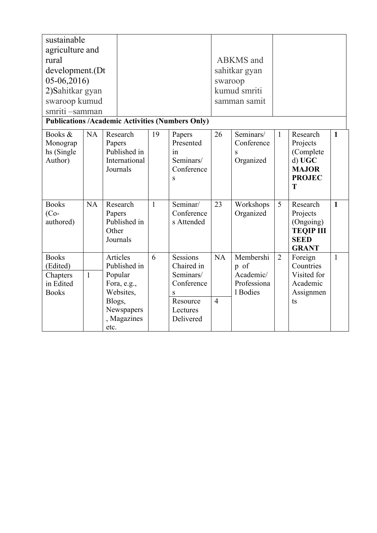| sustainable<br>agriculture and<br>rural<br>development.(Dt<br>$05-06,2016$ |                                                                            |                                                                   | swaroop                      | <b>ABKMS</b> and<br>sahitkar gyan         |                |                                                                                      |              |
|----------------------------------------------------------------------------|----------------------------------------------------------------------------|-------------------------------------------------------------------|------------------------------|-------------------------------------------|----------------|--------------------------------------------------------------------------------------|--------------|
| 2) Sahitkar gyan<br>swaroop kumud<br>smriti -samman                        |                                                                            |                                                                   | kumud smriti<br>samman samit |                                           |                |                                                                                      |              |
| <b>Publications /Academic Activities (Numbers Only)</b>                    |                                                                            |                                                                   |                              |                                           |                |                                                                                      |              |
| Books &<br><b>NA</b><br>Monograp<br>hs (Single<br>Author)                  | 19<br>Research<br>Papers<br>Published in<br>International<br>Journals      | Papers<br>Presented<br>1n<br>Seminars/<br>Conference<br>S         | 26                           | Seminars/<br>Conference<br>S<br>Organized | $\mathbf{1}$   | Research<br>Projects<br>(Complete)<br>d) UGC<br><b>MAJOR</b><br><b>PROJEC</b><br>T   | $\mathbf{1}$ |
| <b>Books</b><br><b>NA</b><br>$(Co-$<br>authored)<br>Other                  | Research<br>$\mathbf{1}$<br>Papers<br>Published in<br>Journals             | Seminar/<br>Conference<br>s Attended                              | 23                           | Workshops<br>Organized                    | 5              | Research<br>Projects<br>(Ongoing)<br><b>TEQIP III</b><br><b>SEED</b><br><b>GRANT</b> | $\mathbf{1}$ |
| <b>Books</b>                                                               | Articles<br>6                                                              | Sessions                                                          | NA                           | Membershi                                 | $\overline{2}$ | Foreign                                                                              | $\mathbf{1}$ |
| (Edited)                                                                   | Published in                                                               | Chaired in                                                        |                              | p of                                      |                | Countries                                                                            |              |
| $\mathbf{1}$<br>Chapters<br>in Edited<br><b>Books</b><br>etc.              | Popular<br>Fora, e.g.,<br>Websites,<br>Blogs,<br>Newspapers<br>, Magazines | Seminars/<br>Conference<br>S<br>Resource<br>Lectures<br>Delivered | $\overline{4}$               | Academic/<br>Professiona<br>1 Bodies      |                | Visited for<br>Academic<br>Assignmen<br>ts                                           |              |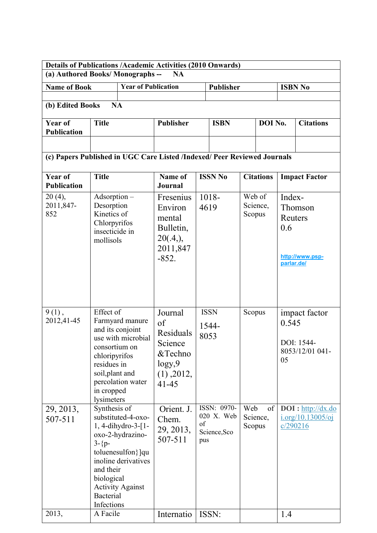| <b>Details of Publications /Academic Activities (2010 Onwards)</b><br>(a) Authored Books/Monographs -- |                                                                                                           |                                                                                                                                     | <b>NA</b>                                                                                   |                                                        |                  |                              |                  |                                        |                                                                           |  |
|--------------------------------------------------------------------------------------------------------|-----------------------------------------------------------------------------------------------------------|-------------------------------------------------------------------------------------------------------------------------------------|---------------------------------------------------------------------------------------------|--------------------------------------------------------|------------------|------------------------------|------------------|----------------------------------------|---------------------------------------------------------------------------|--|
| <b>Name of Book</b>                                                                                    |                                                                                                           | <b>Year of Publication</b>                                                                                                          |                                                                                             |                                                        | <b>Publisher</b> |                              |                  |                                        | <b>ISBN No</b>                                                            |  |
| (b) Edited Books                                                                                       | <b>NA</b>                                                                                                 |                                                                                                                                     |                                                                                             |                                                        |                  |                              |                  |                                        |                                                                           |  |
|                                                                                                        |                                                                                                           |                                                                                                                                     |                                                                                             |                                                        |                  |                              |                  |                                        |                                                                           |  |
| Year of<br><b>Publication</b>                                                                          | <b>Title</b>                                                                                              |                                                                                                                                     | Publisher                                                                                   | <b>ISBN</b>                                            |                  |                              | DOI No.          |                                        | <b>Citations</b>                                                          |  |
|                                                                                                        |                                                                                                           |                                                                                                                                     |                                                                                             |                                                        |                  |                              |                  |                                        |                                                                           |  |
| (c) Papers Published in UGC Care Listed /Indexed/ Peer Reviewed Journals                               |                                                                                                           |                                                                                                                                     |                                                                                             |                                                        |                  |                              |                  |                                        |                                                                           |  |
| <b>Year of</b><br><b>Publication</b>                                                                   | <b>Title</b>                                                                                              |                                                                                                                                     | Name of<br><b>Journal</b>                                                                   | <b>ISSN No</b>                                         |                  |                              | <b>Citations</b> |                                        | <b>Impact Factor</b>                                                      |  |
| $20(4)$ ,<br>2011,847-<br>852                                                                          | $Adsorption-$<br>Desorption<br>Kinetics of<br>Chlorpyrifos<br>insecticide in<br>mollisols                 |                                                                                                                                     | Fresenius<br>Environ<br>mental<br>Bulletin,<br>20(.4),<br>2011,847<br>$-852.$               | 1018-<br>4619                                          |                  | Web of<br>Science,<br>Scopus |                  | Index-<br>Reuters<br>0.6<br>parlar.de/ | Thomson<br>http://www.psp-                                                |  |
| $9(1)$ ,<br>2012,41-45                                                                                 | Effect of<br>consortium on<br>chloripyrifos<br>residues in<br>soil, plant and<br>in cropped<br>lysimeters | Farmyard manure<br>and its conjoint<br>use with microbial<br>percolation water                                                      | Journal<br>of<br>Residuals<br>Science<br>&Techno<br>logy,9<br>$(1)$ , $2012$ ,<br>$41 - 45$ | <b>ISSN</b><br>1544-<br>8053                           |                  | Scopus                       |                  | 0.545<br>05                            | impact factor<br>DOI: 1544-<br>8053/12/01 041-                            |  |
| 29, 2013,<br>507-511                                                                                   | Synthesis of<br>$3 - {p-}$<br>and their<br>biological<br>Bacterial<br>Infections                          | substituted-4-oxo-<br>1, 4-dihydro-3-[1-<br>oxo-2-hydrazino-<br>toluenesulfon}]qu<br>inoline derivatives<br><b>Activity Against</b> | Orient. J.<br>Chem.<br>29, 2013,<br>507-511                                                 | ISSN: 0970-<br>020 X. Web<br>of<br>Science, Sco<br>pus |                  | Web<br>Science,<br>Scopus    | of               |                                        | $DOI: \frac{http://dx.do}{http://dx.do}$<br>i.org/10.13005/oj<br>c/290216 |  |
| 2013,                                                                                                  | A Facile                                                                                                  |                                                                                                                                     | Internatio                                                                                  | ISSN:                                                  |                  |                              |                  | 1.4                                    |                                                                           |  |
|                                                                                                        |                                                                                                           |                                                                                                                                     |                                                                                             |                                                        |                  |                              |                  |                                        |                                                                           |  |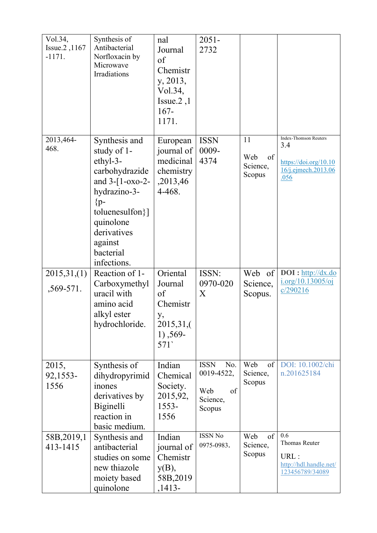| Vol.34,<br>Issue.2, 1167<br>$-1171.$ | Synthesis of<br>Antibacterial<br>Norfloxacin by<br>Microwave<br>Irradiations                                                                                                                        | nal<br>Journal<br>of<br>Chemistr<br>y, 2013,<br>Vol.34,<br>Issue. $2,1$<br>$167 -$<br>1171. | $2051 -$<br>2732                                                    |                                       |                                                                                             |
|--------------------------------------|-----------------------------------------------------------------------------------------------------------------------------------------------------------------------------------------------------|---------------------------------------------------------------------------------------------|---------------------------------------------------------------------|---------------------------------------|---------------------------------------------------------------------------------------------|
| 2013,464-<br>468.                    | Synthesis and<br>study of 1-<br>ethyl-3-<br>carbohydrazide<br>and $3-[1-0x0-2-$<br>hydrazino-3-<br>$\{p-$<br>toluenesulfon $\}]$<br>quinolone<br>derivatives<br>against<br>bacterial<br>infections. | European<br>journal of<br>medicinal<br>chemistry<br>,2013,46<br>4-468.                      | <b>ISSN</b><br>0009-<br>4374                                        | 11<br>Web<br>of<br>Science,<br>Scopus | <b>Index-Thomson Reuters</b><br>3.4<br>https://doi.org/10.10<br>16/j.ejmech.2013.06<br>.056 |
| 2015,31,(1)<br>$,569-571.$           | Reaction of 1-<br>Carboxymethyl<br>uracil with<br>amino acid<br>alkyl ester<br>hydrochloride.                                                                                                       | Oriental<br>Journal<br>of<br>Chemistr<br>у,<br>2015,31,(<br>$1)$ , 569-<br>571              | ISSN:<br>0970-020<br>X                                              | Web of<br>Science,<br>Scopus.         | $DOI: \frac{http://dx.do}{http://dx.do}$<br>i.org/10.13005/oj<br>c/290216                   |
| 2015,<br>92,1553-<br>1556            | Synthesis of<br>dihydropyrimid<br>inones<br>derivatives by<br>Biginelli<br>reaction in<br>basic medium.                                                                                             | Indian<br>Chemical<br>Society.<br>2015,92,<br>$1553-$<br>1556                               | <b>ISSN</b><br>No.<br>0019-4522,<br>Web<br>of<br>Science,<br>Scopus | Web<br>of<br>Science,<br>Scopus       | DOI: 10.1002/chi<br>n.201625184                                                             |
| 58B, 2019, 1<br>413-1415             | Synthesis and<br>antibacterial<br>studies on some<br>new thiazole<br>moiety based<br>quinolone                                                                                                      | Indian<br>journal of<br>Chemistr<br>$y(B)$ ,<br>58B, 2019<br>$,1413-$                       | <b>ISSN No</b><br>0975-0983.                                        | of<br>Web<br>Science,<br>Scopus       | 0.6<br>Thomas Reuter<br>URL:<br>http://hdl.handle.net/<br>123456789/34089                   |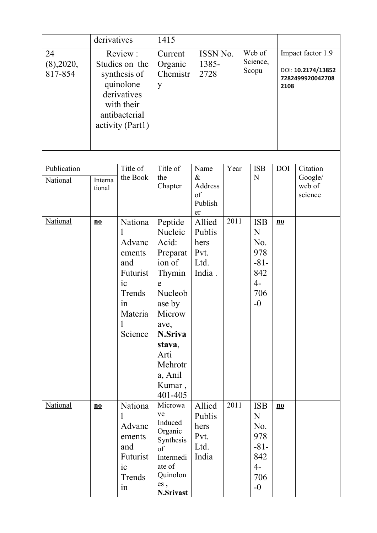|                            | derivatives                                                                                                              |                                                                                                                     | 1415                                                                                                                                                                                       |                                                    |          |  |                                                                               |                           |                                                                     |  |  |
|----------------------------|--------------------------------------------------------------------------------------------------------------------------|---------------------------------------------------------------------------------------------------------------------|--------------------------------------------------------------------------------------------------------------------------------------------------------------------------------------------|----------------------------------------------------|----------|--|-------------------------------------------------------------------------------|---------------------------|---------------------------------------------------------------------|--|--|
| 24<br>(8),2020,<br>817-854 | Review:<br>Studies on the<br>synthesis of<br>quinolone<br>derivatives<br>with their<br>antibacterial<br>activity (Part1) |                                                                                                                     | Current<br>Organic<br>Chemistr<br>y                                                                                                                                                        | 1385-<br>2728                                      | ISSN No. |  | Web of<br>Science,<br>Scopu                                                   |                           | Impact factor 1.9<br>DOI: 10.2174/13852<br>7282499920042708<br>2108 |  |  |
|                            |                                                                                                                          |                                                                                                                     |                                                                                                                                                                                            |                                                    |          |  |                                                                               |                           |                                                                     |  |  |
| Publication<br>National    | Interna<br>tional                                                                                                        | Title of<br>the Book                                                                                                | Title of<br>the<br>Chapter                                                                                                                                                                 | Name<br>$\&$<br>Address<br>of<br>Publish<br>er     | Year     |  | <b>ISB</b><br>N                                                               | <b>DOI</b>                | Citation<br>Google/<br>web of<br>science                            |  |  |
| <b>National</b>            | $\underline{\mathbf{no}}$                                                                                                | Nationa<br>Advanc<br>ements<br>and<br>Futurist<br>$i_{\rm c}$<br>Trends<br>1n<br>Materia<br>$\mathbf{l}$<br>Science | Peptide<br>Nucleic<br>Acid:<br>Preparat<br>ion of<br>Thymin<br>$\mathsf{e}$<br>Nucleob<br>ase by<br>Microw<br>ave,<br>N.Sriva<br>stava,<br>Arti<br>Mehrotr<br>a, Anil<br>Kumar,<br>401-405 | Allied<br>Publis<br>hers<br>Pvt.<br>Ltd.<br>India. | 2011     |  | <b>ISB</b><br>N<br>No.<br>978<br>$-81-$<br>842<br>$4-$<br>706<br>$-0$         | $\underline{\mathbf{no}}$ |                                                                     |  |  |
| <b>National</b>            | $\underline{\mathbf{no}}$                                                                                                | Nationa<br>Advanc<br>ements<br>and<br>Futurist<br>$i_{\rm c}$<br>Trends<br>in                                       | Microwa<br>ve<br>Induced<br>Organic<br>Synthesis<br>of<br>Intermedi<br>ate of<br>Quinolon<br>es,<br>N.Srivast                                                                              | Allied<br>Publis<br>hers<br>Pvt.<br>Ltd.<br>India  | 2011     |  | <b>ISB</b><br>${\bf N}$<br>No.<br>978<br>$-81-$<br>842<br>$4-$<br>706<br>$-0$ | $\underline{\mathbf{no}}$ |                                                                     |  |  |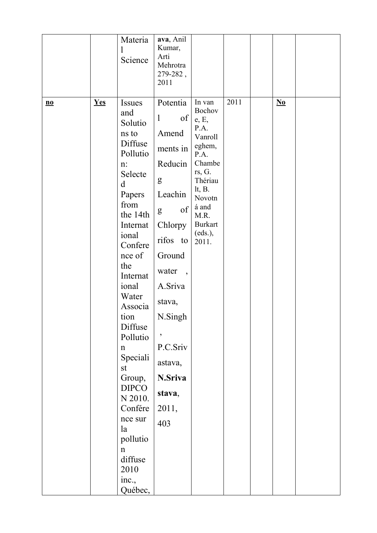|                           |     | Materia<br>$\bf{l}$<br>Science                                                                                                                                                                                                                                                                                                                                                                                   | ava, Anil<br>Kumar,<br>Arti<br>Mehrotra<br>279-282,<br>2011                                                                                                                                                                                                            |                                                                                                                                                                             |      |                                    |  |
|---------------------------|-----|------------------------------------------------------------------------------------------------------------------------------------------------------------------------------------------------------------------------------------------------------------------------------------------------------------------------------------------------------------------------------------------------------------------|------------------------------------------------------------------------------------------------------------------------------------------------------------------------------------------------------------------------------------------------------------------------|-----------------------------------------------------------------------------------------------------------------------------------------------------------------------------|------|------------------------------------|--|
| $\underline{\mathbf{no}}$ | Yes | <b>Issues</b><br>and<br>Solutio<br>ns to<br>Diffuse<br>Pollutio<br>n:<br>Selecte<br>d<br>Papers<br>from<br>the 14th<br>Internat<br>ional<br>Confere<br>nce of<br>the<br>Internat<br>ional<br>Water<br>Associa<br>tion<br>Diffuse<br>Pollutio<br>$\mathbf n$<br>Speciali<br>st<br>Group,<br><b>DIPCO</b><br>N 2010.<br>Confére<br>nce sur<br>la<br>pollutio<br>$\mathbf n$<br>diffuse<br>2010<br>inc.,<br>Québec, | Potentia<br>$\mathbf{1}$<br>of<br>Amend<br>ments in<br>Reducin<br>g<br>Leachin<br>of<br>g<br>Chlorpy<br>rifos<br>to<br>Ground<br>water<br>$\overline{\phantom{a}}$<br>A.Sriva<br>stava,<br>N.Singh<br>$\,$<br>P.C.Sriv<br>astava,<br>N.Sriva<br>stava,<br>2011,<br>403 | In van<br>Bochov<br>e, E,<br>P.A.<br>Vanroll<br>eghem,<br>P.A.<br>Chambe<br>rs, G.<br>Thériau<br>$lt, B$ .<br>Novotn<br>á and<br>M.R.<br><b>Burkart</b><br>(eds.),<br>2011. | 2011 | $\underline{\mathbf{N}\mathbf{o}}$ |  |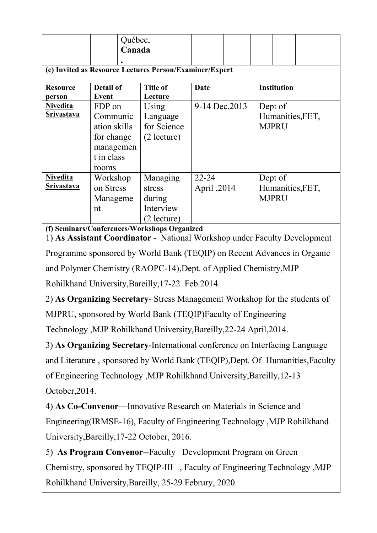|                   | Québec,<br>Canada |                                                         |                |                    |  |  |
|-------------------|-------------------|---------------------------------------------------------|----------------|--------------------|--|--|
|                   |                   | (e) Invited as Resource Lectures Person/Examiner/Expert |                |                    |  |  |
| <b>Resource</b>   | <b>Detail of</b>  | <b>Title of</b>                                         | Date           | <b>Institution</b> |  |  |
| person            | Event             | Lecture                                                 |                |                    |  |  |
| <b>Nivedita</b>   | FDP on            | Using                                                   | 9-14 Dec. 2013 | Dept of            |  |  |
| <b>Srivastava</b> | Communic          | Language                                                |                | Humanities, FET,   |  |  |
|                   | ation skills      | for Science                                             |                | <b>MJPRU</b>       |  |  |
|                   | for change        | $(2$ lecture)                                           |                |                    |  |  |
|                   | managemen         |                                                         |                |                    |  |  |
|                   | t in class        |                                                         |                |                    |  |  |
|                   | rooms             |                                                         |                |                    |  |  |
| <b>Nivedita</b>   | Workshop          | Managing                                                | $22 - 24$      | Dept of            |  |  |
| <b>Srivastava</b> | on Stress         | stress                                                  | April ,2014    | Humanities, FET,   |  |  |
|                   | Manageme          | during                                                  |                | <b>MJPRU</b>       |  |  |
|                   | nt                | Interview                                               |                |                    |  |  |
|                   |                   | (2 lecture)                                             |                |                    |  |  |

**(f) Seminars/Conferences/Workshops Organized**

1) **As Assistant Coordinator** - National Workshop under Faculty Development Programme sponsored by World Bank (TEQIP) on Recent Advances in Organic and Polymer Chemistry (RAOPC-14),Dept. of Applied Chemistry,MJP Rohilkhand University,Bareilly,17-22 Feb.2014.

2) **As Organizing Secretary**- Stress Management Workshop for the students of

MJPRU, sponsored by World Bank (TEQIP)Faculty of Engineering

Technology ,MJP Rohilkhand University,Bareilly,22-24 April,2014.

3) **As Organizing Secretary**-International conference on Interfacing Language and Literature , sponsored by World Bank (TEQIP),Dept. Of Humanities,Faculty of Engineering Technology ,MJP Rohilkhand University,Bareilly,12-13 October,2014.

4) **As Co-Convenor—**Innovative Research on Materials in Science and Engineering(IRMSE-16), Faculty of Engineering Technology ,MJP Rohilkhand University,Bareilly,17-22 October, 2016.

5) **As Program Convenor**--Faculty Development Program on Green Chemistry, sponsored by TEQIP-III , Faculty of Engineering Technology ,MJP Rohilkhand University,Bareilly, 25-29 Februry, 2020.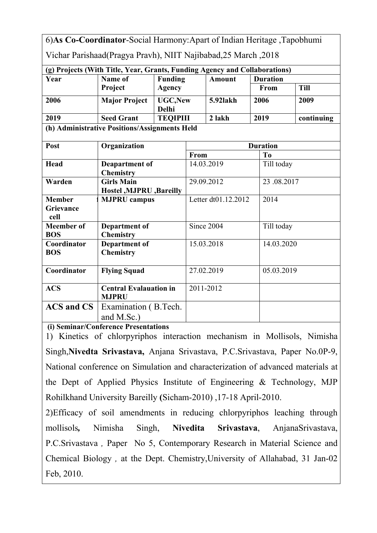|                           | 6) As Co-Coordinator-Social Harmony: Apart of Indian Heritage, Tapobhumi   |                                 |                     |            |  |                 |             |  |  |
|---------------------------|----------------------------------------------------------------------------|---------------------------------|---------------------|------------|--|-----------------|-------------|--|--|
|                           | Vichar Parishaad(Pragya Pravh), NIIT Najibabad, 25 March, 2018             |                                 |                     |            |  |                 |             |  |  |
|                           | (g) Projects (With Title, Year, Grants, Funding Agency and Collaborations) |                                 |                     |            |  |                 |             |  |  |
| Year                      | Name of                                                                    | <b>Funding</b>                  | <b>Amount</b>       |            |  | <b>Duration</b> |             |  |  |
|                           | Project                                                                    | <b>Agency</b>                   |                     |            |  | From            | <b>Till</b> |  |  |
| 2006                      | <b>Major Project</b>                                                       | <b>UGC, New</b><br><b>Delhi</b> |                     | 5.92lakh   |  | 2006            | 2009        |  |  |
| 2019                      | <b>Seed Grant</b>                                                          | <b>TEQIPIII</b>                 |                     | 2 lakh     |  | 2019            | continuing  |  |  |
|                           | (h) Administrative Positions/Assignments Held                              |                                 |                     |            |  |                 |             |  |  |
| Post                      | Organization                                                               |                                 |                     |            |  | <b>Duration</b> |             |  |  |
|                           |                                                                            |                                 | From                |            |  | T <sub>0</sub>  |             |  |  |
| Head                      | Deapartment of<br><b>Chemistry</b>                                         |                                 |                     | 14.03.2019 |  | Till today      |             |  |  |
| Warden                    | <b>Girls Main</b>                                                          |                                 | 29.09.2012          |            |  | 23.08.2017      |             |  |  |
|                           | Hostel , MJPRU , Bareilly                                                  |                                 |                     |            |  |                 |             |  |  |
| <b>Member</b>             | <b>MJPRU</b> campus                                                        |                                 | Letter dt01.12.2012 |            |  | 2014            |             |  |  |
| Grievance<br>cell         |                                                                            |                                 |                     |            |  |                 |             |  |  |
| <b>Meember</b> of         | Department of                                                              |                                 | Since 2004          |            |  | Till today      |             |  |  |
| <b>BOS</b>                | <b>Chemistry</b>                                                           |                                 |                     |            |  |                 |             |  |  |
| Coordinator<br><b>BOS</b> | <b>Department of</b><br><b>Chemistry</b>                                   |                                 |                     | 15.03.2018 |  | 14.03.2020      |             |  |  |
| Coordinator               | <b>Flying Squad</b>                                                        |                                 | 27.02.2019          |            |  | 05.03.2019      |             |  |  |
| <b>ACS</b>                | <b>Central Evalauation in</b><br><b>MJPRU</b>                              |                                 | 2011-2012           |            |  |                 |             |  |  |
| <b>ACS</b> and CS         | Examination (B.Tech.)                                                      |                                 |                     |            |  |                 |             |  |  |
|                           | and M.Sc.)                                                                 |                                 |                     |            |  |                 |             |  |  |

**(i) Seminar/Conference Presentations**

1) Kinetics of chlorpyriphos interaction mechanism in Mollisols, Nimisha Singh,**Nivedta Srivastava,** Anjana Srivastava, P.C.Srivastava, Paper No.0P-9, National conference on Simulation and characterization of advanced materials at the Dept of Applied Physics Institute of Engineering & Technology, MJP Rohilkhand University Bareilly **(**Sicham-2010) ,17-18 April-2010.

2)Efficacy of soil amendments in reducing chlorpyriphos leaching through mollisols*,* Nimisha Singh, **Nivedita Srivastava**, AnjanaSrivastava, P.C.Srivastava *,* Paper No 5, Contemporary Research in Material Science and Chemical Biology *,* at the Dept. Chemistry,University of Allahabad, 31 Jan-02 Feb, 2010.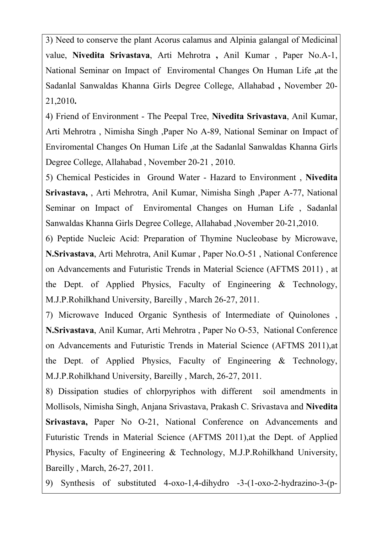3) Need to conserve the plant Acorus calamus and Alpinia galangal of Medicinal value, **Nivedita Srivastava**, Arti Mehrotra **,** Anil Kumar , Paper No.A-1, National Seminar on Impact of Enviromental Changes On Human Life **,**at the Sadanlal Sanwaldas Khanna Girls Degree College, Allahabad **,** November 20- 21,2010**.**

4) Friend of Environment - The Peepal Tree, **Nivedita Srivastava**, Anil Kumar, Arti Mehrotra , Nimisha Singh ,Paper No A-89, National Seminar on Impact of Enviromental Changes On Human Life ,at the Sadanlal Sanwaldas Khanna Girls Degree College, Allahabad , November 20-21 , 2010.

5) Chemical Pesticides in Ground Water - Hazard to Environment , **Nivedita Srivastava,** , Arti Mehrotra, Anil Kumar, Nimisha Singh ,Paper A-77, National Seminar on Impact of Enviromental Changes on Human Life , Sadanlal Sanwaldas Khanna Girls Degree College, Allahabad ,November 20-21,2010.

6) Peptide Nucleic Acid: Preparation of Thymine Nucleobase by Microwave, **N.Srivastava**, Arti Mehrotra, Anil Kumar, Paper No.O-51, National Conference on Advancements and Futuristic Trends in Material Science (AFTMS 2011) , at the Dept. of Applied Physics, Faculty of Engineering & Technology, M.J.P.Rohilkhand University, Bareilly , March 26-27, 2011.

7) Microwave Induced Organic Synthesis of Intermediate of Quinolones , **N.Srivastava**, Anil Kumar, Arti Mehrotra , Paper No O-53, National Conference on Advancements and Futuristic Trends in Material Science (AFTMS 2011),at the Dept. of Applied Physics, Faculty of Engineering & Technology, M.J.P.Rohilkhand University, Bareilly , March, 26-27, 2011.

8) Dissipation studies of chlorpyriphos with different soil amendments in Mollisols, Nimisha Singh, Anjana Srivastava, Prakash C. Srivastava and **Nivedita Srivastava,** Paper No O-21, National Conference on Advancements and Futuristic Trends in Material Science (AFTMS 2011),at the Dept. of Applied Physics, Faculty of Engineering & Technology, M.J.P.Rohilkhand University, Bareilly , March, 26-27, 2011.

9) Synthesis of substituted 4-oxo-1,4-dihydro -3-(1-oxo-2-hydrazino-3-(p-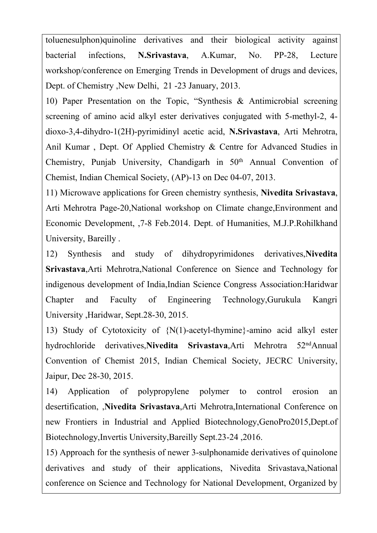toluenesulphon)quinoline derivatives and their biological activity against bacterial infections, **N.Srivastava**, A.Kumar, No. PP-28, Lecture workshop/conference on Emerging Trends in Development of drugs and devices, Dept. of Chemistry ,New Delhi, 21-23 January, 2013.

10) Paper Presentation on the Topic, "Synthesis & Antimicrobial screening screening of amino acid alkyl ester derivatives conjugated with 5-methyl-2, 4 dioxo-3,4-dihydro-1(2H)-pyrimidinyl acetic acid, **N.Srivastava**, Arti Mehrotra, Anil Kumar , Dept. Of Applied Chemistry & Centre for Advanced Studies in Chemistry, Punjab University, Chandigarh in  $50<sup>th</sup>$  Annual Convention of Chemist, Indian Chemical Society, (AP)-13 on Dec 04-07, 2013.

11) Microwave applications for Green chemistry synthesis, **Nivedita Srivastava**, Arti Mehrotra Page-20,National workshop on Climate change,Environment and Economic Development, ,7-8 Feb.2014. Dept. of Humanities, M.J.P.Rohilkhand University, Bareilly .

12) Synthesis and study of dihydropyrimidones derivatives,**Nivedita Srivastava**,Arti Mehrotra,National Conference on Sience and Technology for indigenous development of India,Indian Science Congress Association:Haridwar Chapter and Faculty of Engineering Technology,Gurukula Kangri University ,Haridwar, Sept.28-30, 2015.

13) Study of Cytotoxicity of {N(1)-acetyl-thymine}-amino acid alkyl ester hydrochloride derivatives.**Nivedita Srivastava**.Arti Mehrotra  $52<sup>nd</sup>$ Annual Convention of Chemist 2015, Indian Chemical Society, JECRC University, Jaipur, Dec 28-30, 2015.

14) Application of polypropylene polymer to control erosion an desertification, ,**Nivedita Srivastava**,Arti Mehrotra,International Conference on new Frontiers in Industrial and Applied Biotechnology,GenoPro2015,Dept.of Biotechnology,Invertis University,Bareilly Sept.23-24 ,2016.

15) Approach for the synthesis of newer 3-sulphonamide derivatives of quinolone derivatives and study of their applications, Nivedita Srivastava,National conference on Science and Technology for National Development, Organized by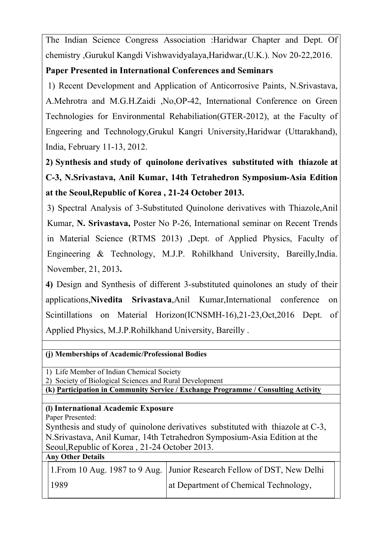The Indian Science Congress Association :Haridwar Chapter and Dept. Of chemistry ,Gurukul Kangdi Vishwavidyalaya,Haridwar,(U.K.). Nov 20-22,2016.

## **Paper Presented in International Conferences and Seminars**

1) Recent Development and Application of Anticorrosive Paints, N.Srivastava, A.Mehrotra and M.G.H.Zaidi ,No,OP-42, International Conference on Green Technologies for Environmental Rehabiliation(GTER-2012), at the Faculty of Engeering and Technology,Grukul Kangri University,Haridwar (Uttarakhand), India, February 11-13, 2012.

**2) Synthesis and study of quinolone derivatives substituted with thiazole at C-3, N.Srivastava, Anil Kumar, 14th Tetrahedron Symposium-Asia Edition at the Seoul,Republic of Korea , 21-24 October 2013.**

3) Spectral Analysis of 3-Substituted Quinolone derivatives with Thiazole,Anil Kumar, **N. Srivastava,** Poster No P-26, International seminar on Recent Trends in Material Science (RTMS 2013) ,Dept. of Applied Physics, Faculty of Engineering & Technology, M.J.P. Rohilkhand University, Bareilly,India. November, 21, 2013**.**

**4)** Design and Synthesis of different 3-substituted quinolones an study of their applications,**Nivedita Srivastava**,Anil Kumar,International conference on Scintillations on Material Horizon(ICNSMH-16),21-23,Oct,2016 Dept. of Applied Physics, M.J.P.Rohilkhand University, Bareilly .

## **(j) Memberships ofAcademic/Professional Bodies**

1) Life Member of Indian Chemical Society

2) Society of Biological Sciences and Rural Development

**(k) Participation in Community Service / Exchange Programme / Consulting Activity**

## **(l) International Academic Exposure**

Paper Presented:

Synthesis and study of quinolone derivatives substituted with thiazole at C-3, N.Srivastava, Anil Kumar, 14th Tetrahedron Symposium-Asia Edition at the Seoul,Republic of Korea , 21-24 October 2013.

|  | <b>Any Other Details</b> |  |
|--|--------------------------|--|
|  |                          |  |

|      | 1. From 10 Aug. 1987 to 9 Aug. Junior Research Fellow of DST, New Delhi |  |
|------|-------------------------------------------------------------------------|--|
| 1989 | at Department of Chemical Technology,                                   |  |